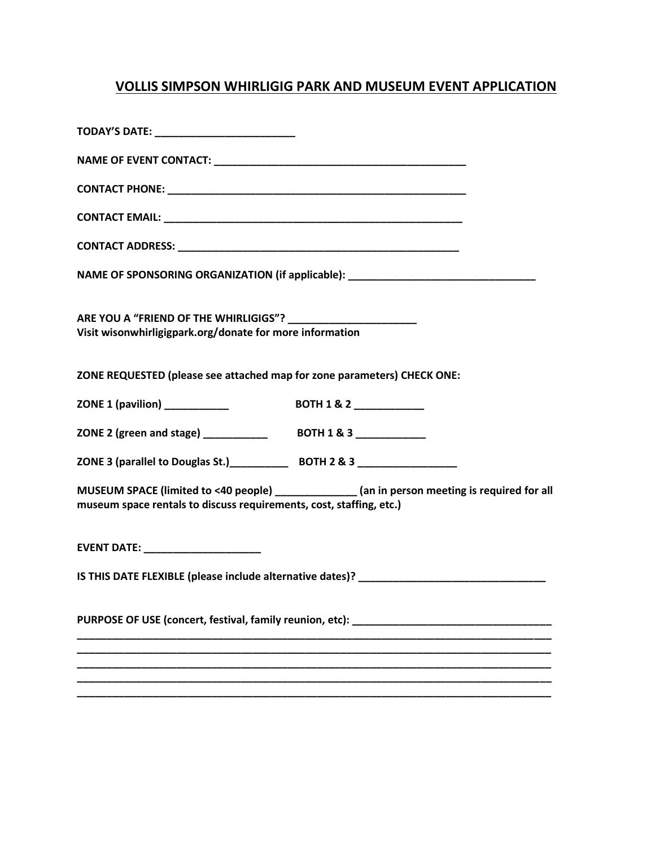## **VOLLIS SIMPSON WHIRLIGIG PARK AND MUSEUM EVENT APPLICATION**

| NAME OF SPONSORING ORGANIZATION (if applicable): _______________________________                                                                                    |  |
|---------------------------------------------------------------------------------------------------------------------------------------------------------------------|--|
| Visit wisonwhirligigpark.org/donate for more information                                                                                                            |  |
| ZONE REQUESTED (please see attached map for zone parameters) CHECK ONE:                                                                                             |  |
|                                                                                                                                                                     |  |
|                                                                                                                                                                     |  |
|                                                                                                                                                                     |  |
| MUSEUM SPACE (limited to <40 people) _____________ (an in person meeting is required for all<br>museum space rentals to discuss requirements, cost, staffing, etc.) |  |
|                                                                                                                                                                     |  |
|                                                                                                                                                                     |  |
| PURPOSE OF USE (concert, festival, family reunion, etc): _______________________                                                                                    |  |
|                                                                                                                                                                     |  |
|                                                                                                                                                                     |  |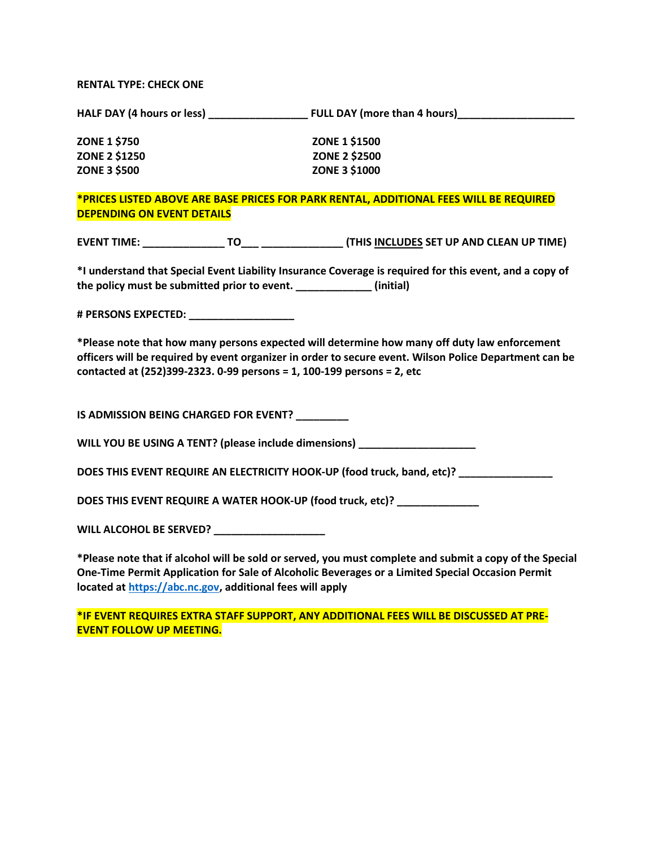## **RENTAL TYPE: CHECK ONE**

**HALF DAY (4 hours or less) \_\_\_\_\_\_\_\_\_\_\_\_\_\_\_\_\_ FULL DAY (more than 4 hours)\_\_\_\_\_\_\_\_\_\_\_\_\_\_\_\_\_\_\_\_**

| <b>ZONE 1 \$750</b>  | <b>ZONE 1 \$1500</b> |
|----------------------|----------------------|
| <b>ZONE 2 \$1250</b> | <b>ZONE 2 \$2500</b> |
| <b>ZONE 3 \$500</b>  | <b>ZONE 3 \$1000</b> |

## **\*PRICES LISTED ABOVE ARE BASE PRICES FOR PARK RENTAL, ADDITIONAL FEES WILL BE REQUIRED DEPENDING ON EVENT DETAILS**

| <b>EVENT TIME:</b> |  | (THIS INCLUDES SET UP AND CLEAN UP TIME) |
|--------------------|--|------------------------------------------|
|--------------------|--|------------------------------------------|

**\*I understand that Special Event Liability Insurance Coverage is required for this event, and a copy of the policy must be submitted prior to event. \_\_\_\_\_\_\_\_\_\_\_\_\_ (initial)**

**# PERSONS EXPECTED: \_\_\_\_\_\_\_\_\_\_\_\_\_\_\_\_\_\_**

**\*Please note that how many persons expected will determine how many off duty law enforcement officers will be required by event organizer in order to secure event. Wilson Police Department can be contacted at (252)399-2323. 0-99 persons = 1, 100-199 persons = 2, etc**

**IS ADMISSION BEING CHARGED FOR EVENT? \_\_\_\_\_\_\_\_\_**

**WILL YOU BE USING A TENT? (please include dimensions) \_\_\_\_\_\_\_\_\_\_\_\_\_\_\_\_\_\_\_\_**

**DOES THIS EVENT REQUIRE AN ELECTRICITY HOOK-UP (food truck, band, etc)? \_\_\_\_\_\_\_\_\_\_\_\_\_\_\_\_**

**DOES THIS EVENT REQUIRE A WATER HOOK-UP (food truck, etc)? \_\_\_\_\_\_\_\_\_\_\_\_\_\_**

**WILL ALCOHOL BE SERVED? \_\_\_\_\_\_\_\_\_\_\_\_\_\_\_\_\_\_\_**

**\*Please note that if alcohol will be sold or served, you must complete and submit a copy of the Special One-Time Permit Application for Sale of Alcoholic Beverages or a Limited Special Occasion Permit located at [https://abc.nc.gov,](https://abc.nc.gov/) additional fees will apply**

**\*IF EVENT REQUIRES EXTRA STAFF SUPPORT, ANY ADDITIONAL FEES WILL BE DISCUSSED AT PRE-EVENT FOLLOW UP MEETING.**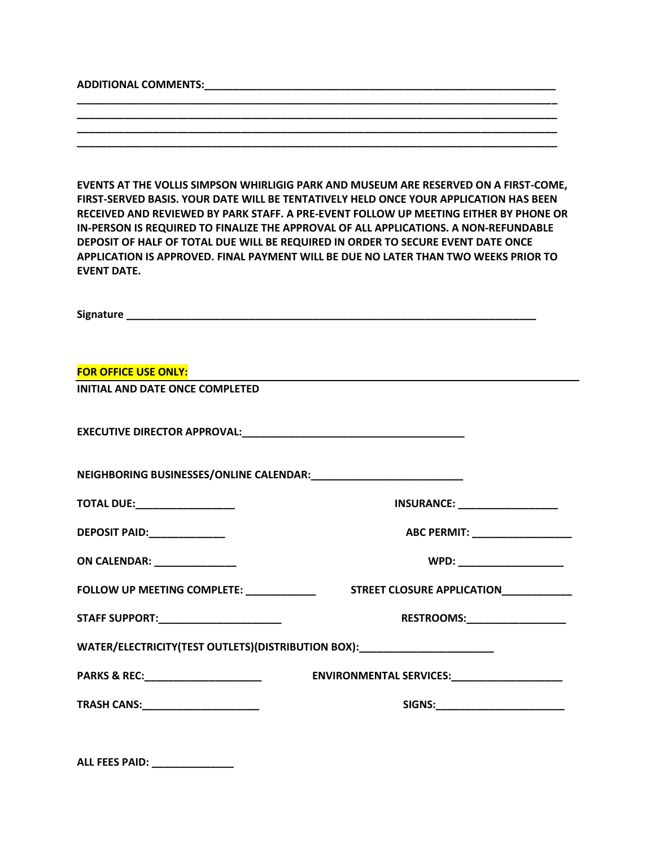## **ADDITIONAL COMMENTS:\_\_\_\_\_\_\_\_\_\_\_\_\_\_\_\_\_\_\_\_\_\_\_\_\_\_\_\_\_\_\_\_\_\_\_\_\_\_\_\_\_\_\_\_\_\_\_\_\_\_\_\_\_\_\_\_\_\_\_\_**

**EVENTS AT THE VOLLIS SIMPSON WHIRLIGIG PARK AND MUSEUM ARE RESERVED ON A FIRST-COME, FIRST-SERVED BASIS. YOUR DATE WILL BE TENTATIVELY HELD ONCE YOUR APPLICATION HAS BEEN RECEIVED AND REVIEWED BY PARK STAFF. A PRE-EVENT FOLLOW UP MEETING EITHER BY PHONE OR IN-PERSON IS REQUIRED TO FINALIZE THE APPROVAL OF ALL APPLICATIONS. A NON-REFUNDABLE DEPOSIT OF HALF OF TOTAL DUE WILL BE REQUIRED IN ORDER TO SECURE EVENT DATE ONCE APPLICATION IS APPROVED. FINAL PAYMENT WILL BE DUE NO LATER THAN TWO WEEKS PRIOR TO EVENT DATE.**

**\_\_\_\_\_\_\_\_\_\_\_\_\_\_\_\_\_\_\_\_\_\_\_\_\_\_\_\_\_\_\_\_\_\_\_\_\_\_\_\_\_\_\_\_\_\_\_\_\_\_\_\_\_\_\_\_\_\_\_\_\_\_\_\_\_\_\_\_\_\_\_\_\_\_\_\_\_\_\_\_\_\_ \_\_\_\_\_\_\_\_\_\_\_\_\_\_\_\_\_\_\_\_\_\_\_\_\_\_\_\_\_\_\_\_\_\_\_\_\_\_\_\_\_\_\_\_\_\_\_\_\_\_\_\_\_\_\_\_\_\_\_\_\_\_\_\_\_\_\_\_\_\_\_\_\_\_\_\_\_\_\_\_\_\_ \_\_\_\_\_\_\_\_\_\_\_\_\_\_\_\_\_\_\_\_\_\_\_\_\_\_\_\_\_\_\_\_\_\_\_\_\_\_\_\_\_\_\_\_\_\_\_\_\_\_\_\_\_\_\_\_\_\_\_\_\_\_\_\_\_\_\_\_\_\_\_\_\_\_\_\_\_\_\_\_\_\_ \_\_\_\_\_\_\_\_\_\_\_\_\_\_\_\_\_\_\_\_\_\_\_\_\_\_\_\_\_\_\_\_\_\_\_\_\_\_\_\_\_\_\_\_\_\_\_\_\_\_\_\_\_\_\_\_\_\_\_\_\_\_\_\_\_\_\_\_\_\_\_\_\_\_\_\_\_\_\_\_\_\_**

| <b>FOR OFFICE USE ONLY:</b>             |                                                                                  |
|-----------------------------------------|----------------------------------------------------------------------------------|
| <b>INITIAL AND DATE ONCE COMPLETED</b>  |                                                                                  |
|                                         |                                                                                  |
|                                         |                                                                                  |
| <b>TOTAL DUE:__________________</b>     | <b>INSURANCE:</b> _________________                                              |
| DEPOSIT PAID: Network                   | ABC PERMIT: __________________                                                   |
| <b>ON CALENDAR: ________________</b>    |                                                                                  |
| FOLLOW UP MEETING COMPLETE: ___________ | STREET CLOSURE APPLICATION____________                                           |
| STAFF SUPPORT:______________________    | RESTROOMS:__________________                                                     |
|                                         | WATER/ELECTRICITY(TEST OUTLETS)(DISTRIBUTION BOX): _____________________________ |
| PARKS & REC:_________________________   | ENVIRONMENTAL SERVICES: ENVIRONMENTAL SERVICES:                                  |
|                                         | SIGNS:________________________                                                   |

|  | <b>ALL FEES PAID:</b> |  |  |
|--|-----------------------|--|--|
|  |                       |  |  |